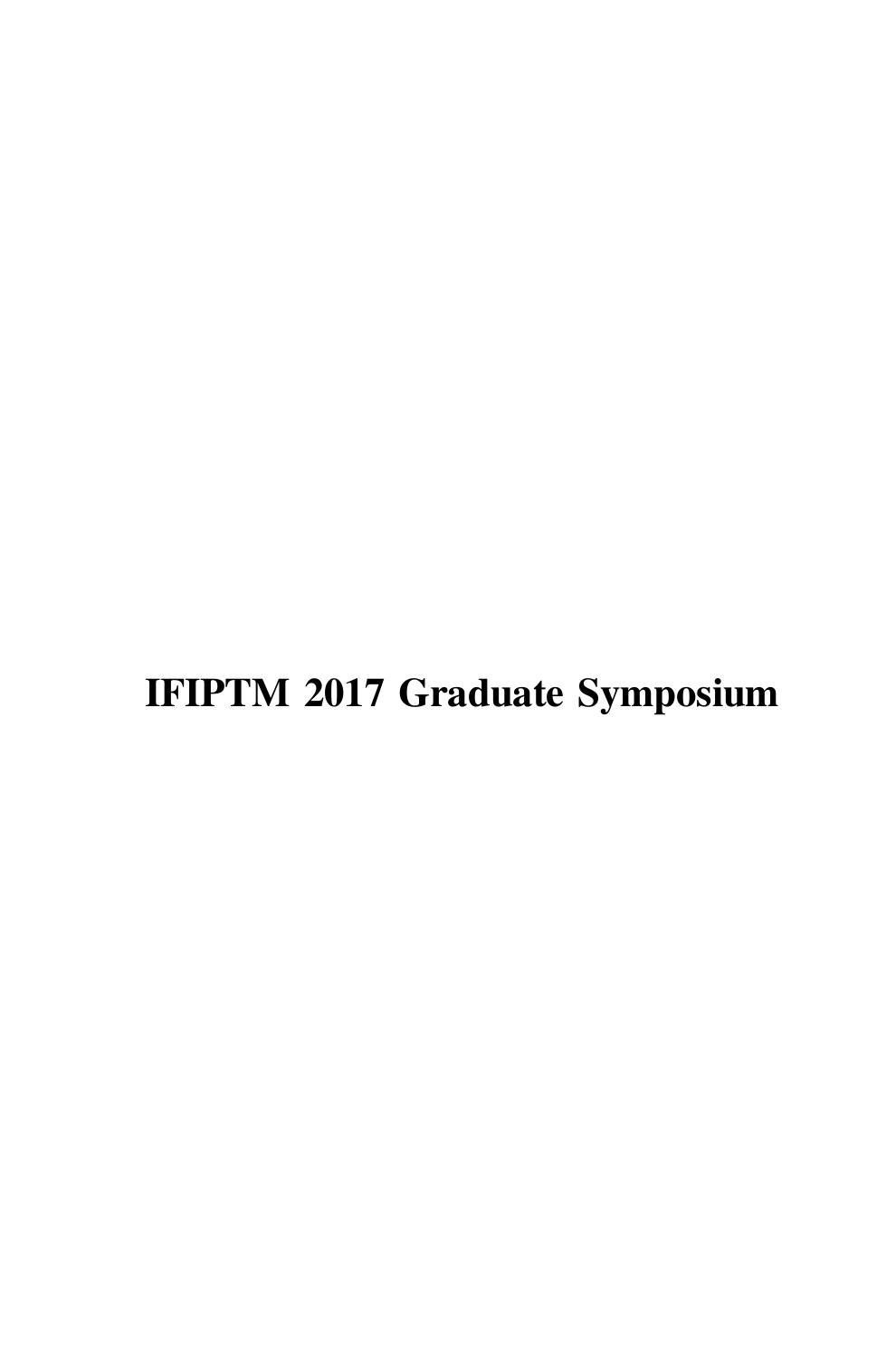# IFIPTM 2017 Graduate Symposium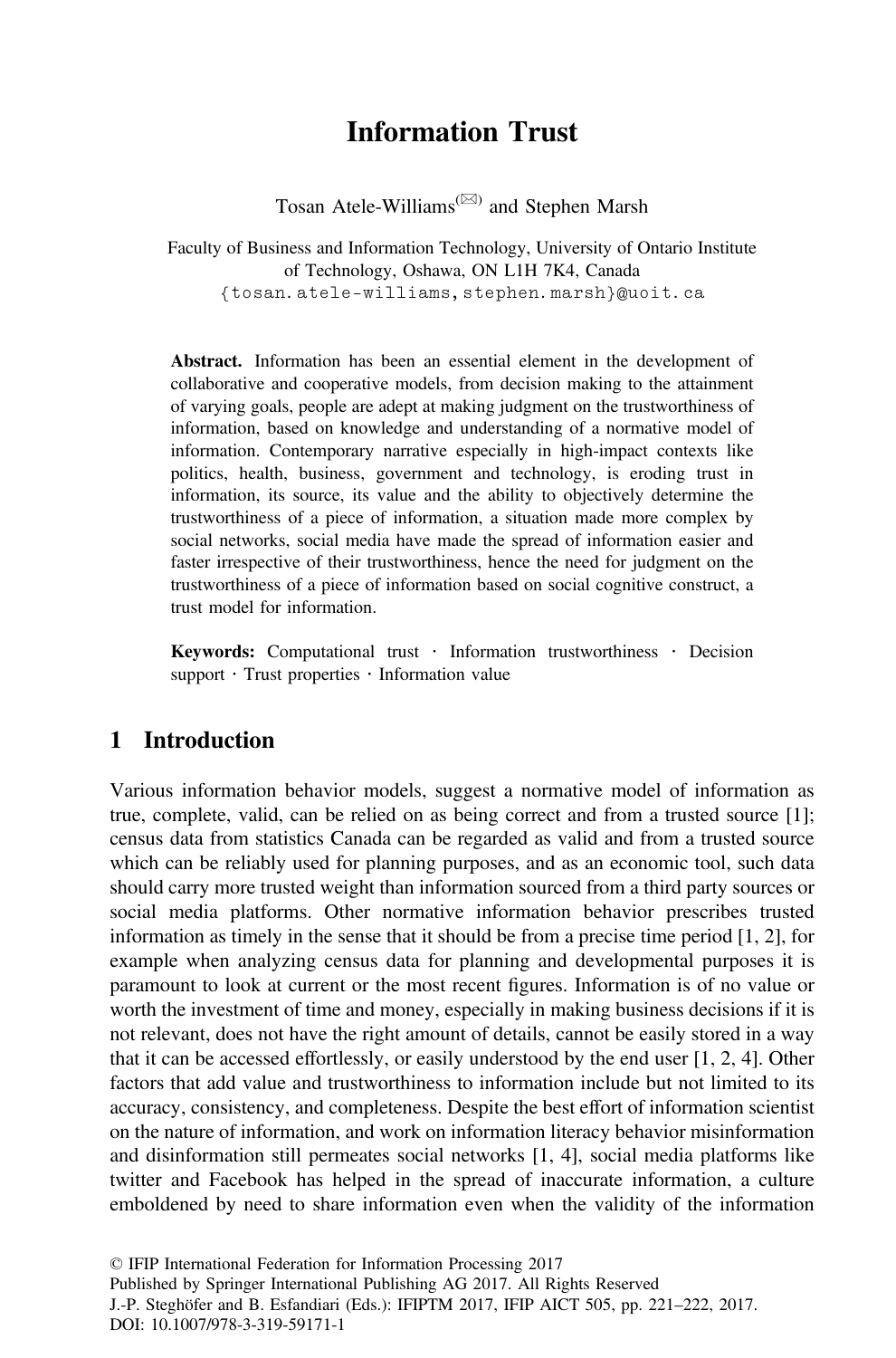## Information Trust

Tosan Atele-Williams<sup>( $\boxtimes$ )</sup> and Stephen Marsh

Faculty of Business and Information Technology, University of Ontario Institute of Technology, Oshawa, ON L1H 7K4, Canada {tosan.atele-williams,stephen.marsh}@uoit.ca

Abstract. Information has been an essential element in the development of collaborative and cooperative models, from decision making to the attainment of varying goals, people are adept at making judgment on the trustworthiness of information, based on knowledge and understanding of a normative model of information. Contemporary narrative especially in high-impact contexts like politics, health, business, government and technology, is eroding trust in information, its source, its value and the ability to objectively determine the trustworthiness of a piece of information, a situation made more complex by social networks, social media have made the spread of information easier and faster irrespective of their trustworthiness, hence the need for judgment on the trustworthiness of a piece of information based on social cognitive construct, a trust model for information.

Keywords: Computational trust · Information trustworthiness · Decision support  $\cdot$  Trust properties  $\cdot$  Information value

#### 1 Introduction

Various information behavior models, suggest a normative model of information as true, complete, valid, can be relied on as being correct and from a trusted source [1]; census data from statistics Canada can be regarded as valid and from a trusted source which can be reliably used for planning purposes, and as an economic tool, such data should carry more trusted weight than information sourced from a third party sources or social media platforms. Other normative information behavior prescribes trusted information as timely in the sense that it should be from a precise time period [1, 2], for example when analyzing census data for planning and developmental purposes it is paramount to look at current or the most recent figures. Information is of no value or worth the investment of time and money, especially in making business decisions if it is not relevant, does not have the right amount of details, cannot be easily stored in a way that it can be accessed effortlessly, or easily understood by the end user [1, 2, 4]. Other factors that add value and trustworthiness to information include but not limited to its accuracy, consistency, and completeness. Despite the best effort of information scientist on the nature of information, and work on information literacy behavior misinformation and disinformation still permeates social networks [1, 4], social media platforms like twitter and Facebook has helped in the spread of inaccurate information, a culture emboldened by need to share information even when the validity of the information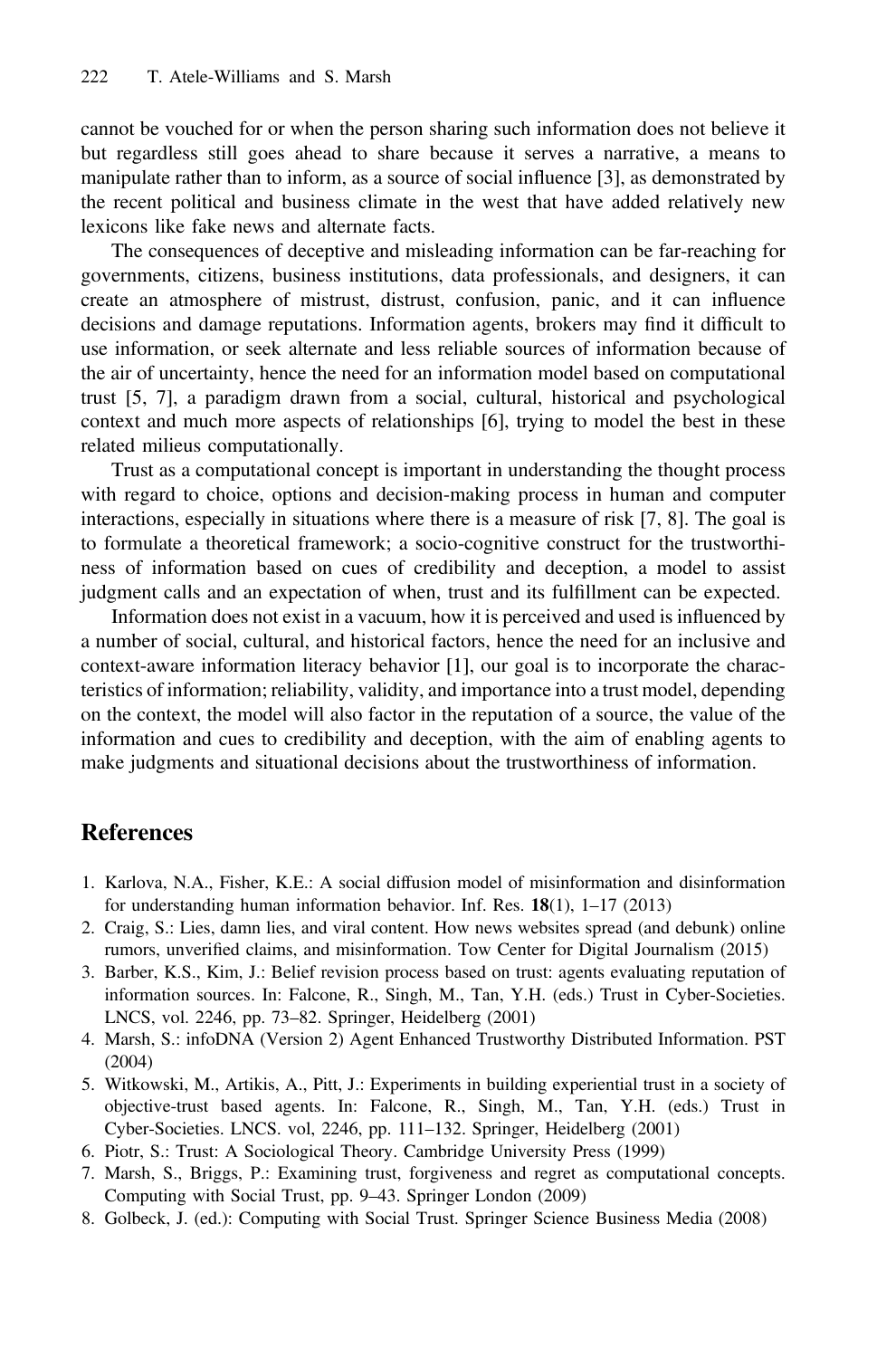cannot be vouched for or when the person sharing such information does not believe it but regardless still goes ahead to share because it serves a narrative, a means to manipulate rather than to inform, as a source of social influence [3], as demonstrated by the recent political and business climate in the west that have added relatively new lexicons like fake news and alternate facts.

The consequences of deceptive and misleading information can be far-reaching for governments, citizens, business institutions, data professionals, and designers, it can create an atmosphere of mistrust, distrust, confusion, panic, and it can influence decisions and damage reputations. Information agents, brokers may find it difficult to use information, or seek alternate and less reliable sources of information because of the air of uncertainty, hence the need for an information model based on computational trust [5, 7], a paradigm drawn from a social, cultural, historical and psychological context and much more aspects of relationships [6], trying to model the best in these related milieus computationally.

Trust as a computational concept is important in understanding the thought process with regard to choice, options and decision-making process in human and computer interactions, especially in situations where there is a measure of risk [7, 8]. The goal is to formulate a theoretical framework; a socio-cognitive construct for the trustworthiness of information based on cues of credibility and deception, a model to assist judgment calls and an expectation of when, trust and its fulfillment can be expected.

Information does not exist in a vacuum, how it is perceived and used is influenced by a number of social, cultural, and historical factors, hence the need for an inclusive and context-aware information literacy behavior [1], our goal is to incorporate the characteristics of information; reliability, validity, and importance into a trust model, depending on the context, the model will also factor in the reputation of a source, the value of the information and cues to credibility and deception, with the aim of enabling agents to make judgments and situational decisions about the trustworthiness of information.

#### References

- 1. Karlova, N.A., Fisher, K.E.: A social diffusion model of misinformation and disinformation for understanding human information behavior. Inf. Res. 18(1), 1–17 (2013)
- 2. Craig, S.: Lies, damn lies, and viral content. How news websites spread (and debunk) online rumors, unverified claims, and misinformation. Tow Center for Digital Journalism (2015)
- 3. Barber, K.S., Kim, J.: Belief revision process based on trust: agents evaluating reputation of information sources. In: Falcone, R., Singh, M., Tan, Y.H. (eds.) Trust in Cyber-Societies. LNCS, vol. 2246, pp. 73–82. Springer, Heidelberg (2001)
- 4. Marsh, S.: infoDNA (Version 2) Agent Enhanced Trustworthy Distributed Information. PST (2004)
- 5. Witkowski, M., Artikis, A., Pitt, J.: Experiments in building experiential trust in a society of objective-trust based agents. In: Falcone, R., Singh, M., Tan, Y.H. (eds.) Trust in Cyber-Societies. LNCS. vol, 2246, pp. 111–132. Springer, Heidelberg (2001)
- 6. Piotr, S.: Trust: A Sociological Theory. Cambridge University Press (1999)
- 7. Marsh, S., Briggs, P.: Examining trust, forgiveness and regret as computational concepts. Computing with Social Trust, pp. 9–43. Springer London (2009)
- 8. Golbeck, J. (ed.): Computing with Social Trust. Springer Science Business Media (2008)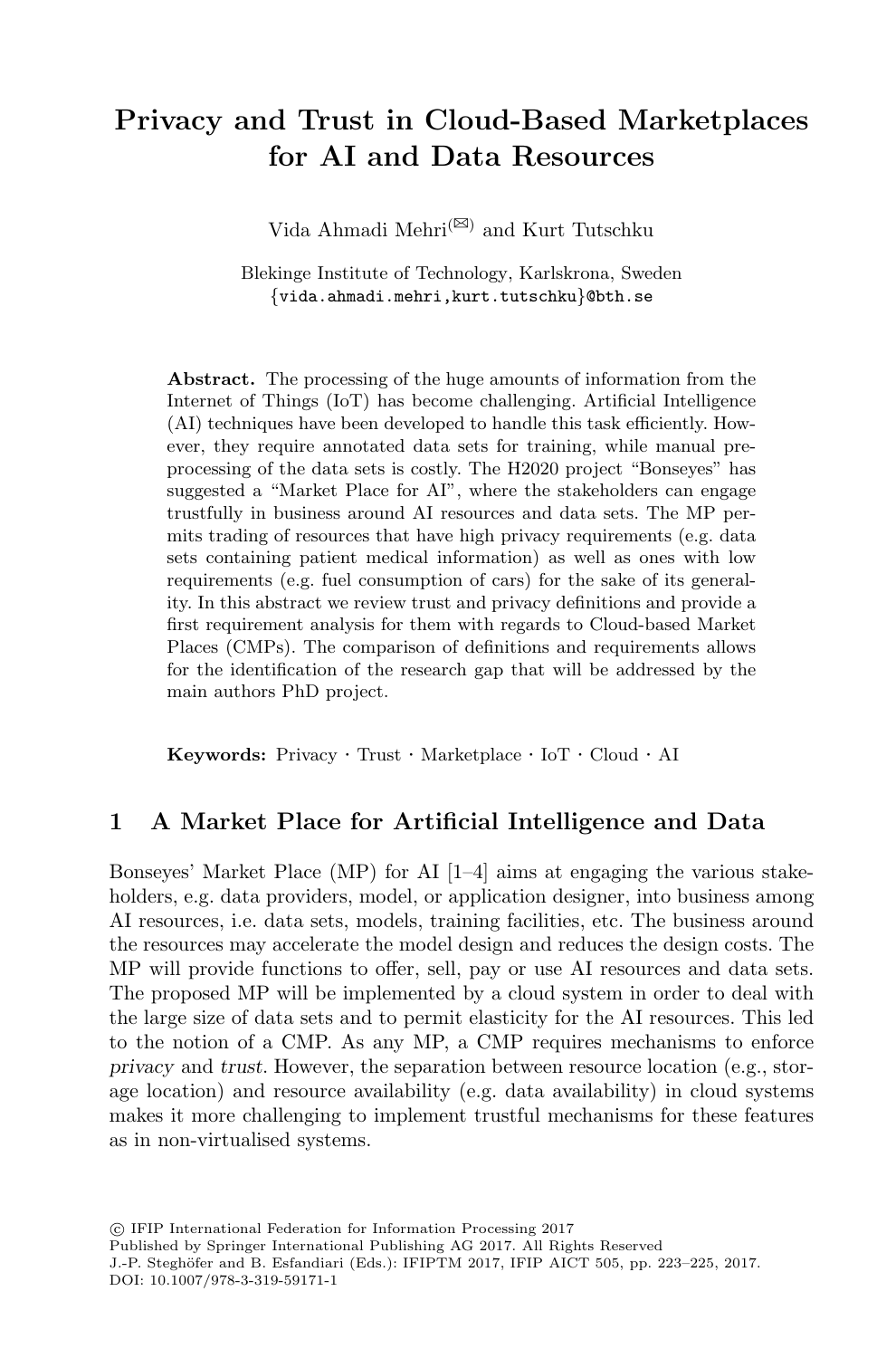# **Privacy and Trust in Cloud-Based Marketplaces for AI and Data Resources**

Vida Ahmadi Mehri<sup>( $\boxtimes$ )</sup> and Kurt Tutschku

Blekinge Institute of Technology, Karlskrona, Sweden *{*vida.ahmadi.mehri,kurt.tutschku*}*@bth.se

**Abstract.** The processing of the huge amounts of information from the Internet of Things (IoT) has become challenging. Artificial Intelligence (AI) techniques have been developed to handle this task efficiently. However, they require annotated data sets for training, while manual preprocessing of the data sets is costly. The H2020 project "Bonseyes" has suggested a "Market Place for AI", where the stakeholders can engage trustfully in business around AI resources and data sets. The MP permits trading of resources that have high privacy requirements (e.g. data sets containing patient medical information) as well as ones with low requirements (e.g. fuel consumption of cars) for the sake of its generality. In this abstract we review trust and privacy definitions and provide a first requirement analysis for them with regards to Cloud-based Market Places (CMPs). The comparison of definitions and requirements allows for the identification of the research gap that will be addressed by the main authors PhD project.

**Keywords:** Privacy *·* Trust *·* Marketplace *·* IoT *·* Cloud *·* AI

#### **1 A Market Place for Artificial Intelligence and Data**

Bonseyes' Market Place (MP) for AI [1–4] aims at engaging the various stakeholders, e.g. data providers, model, or application designer, into business among AI resources, i.e. data sets, models, training facilities, etc. The business around the resources may accelerate the model design and reduces the design costs. The MP will provide functions to offer, sell, pay or use AI resources and data sets. The proposed MP will be implemented by a cloud system in order to deal with the large size of data sets and to permit elasticity for the AI resources. This led to the notion of a CMP. As any MP, a CMP requires mechanisms to enforce *privacy* and *trust*. However, the separation between resource location (e.g., storage location) and resource availability (e.g. data availability) in cloud systems makes it more challenging to implement trustful mechanisms for these features as in non-virtualised systems.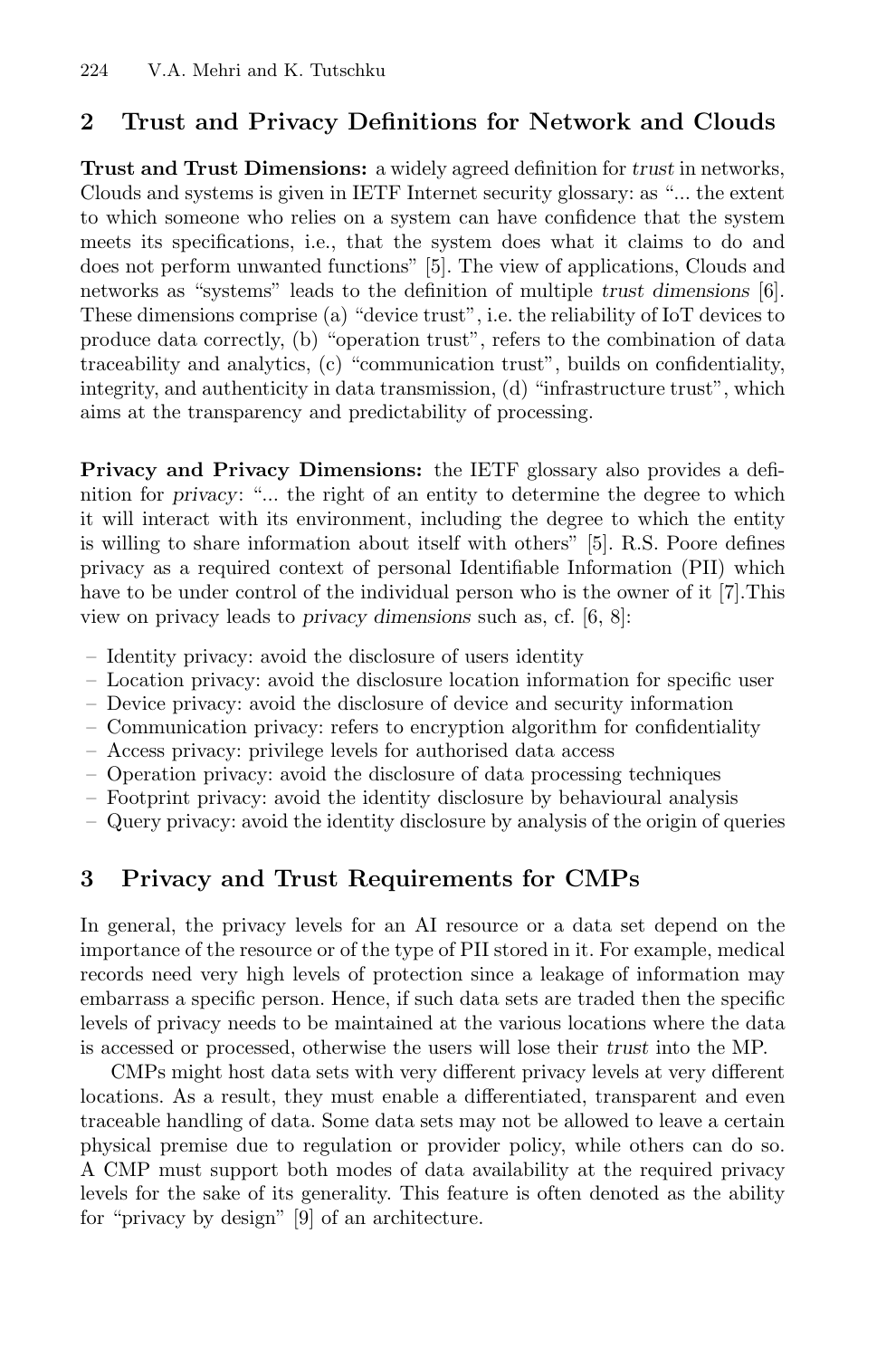## **2 Trust and Privacy Definitions for Network and Clouds**

**Trust and Trust Dimensions:** a widely agreed definition for *trust* in networks, Clouds and systems is given in IETF Internet security glossary: as "... the extent to which someone who relies on a system can have confidence that the system meets its specifications, i.e., that the system does what it claims to do and does not perform unwanted functions" [5]. The view of applications, Clouds and networks as "systems" leads to the definition of multiple *trust dimensions* [6]. These dimensions comprise (a) "device trust", i.e. the reliability of IoT devices to produce data correctly, (b) "operation trust", refers to the combination of data traceability and analytics, (c) "communication trust", builds on confidentiality, integrity, and authenticity in data transmission, (d) "infrastructure trust", which aims at the transparency and predictability of processing.

**Privacy and Privacy Dimensions:** the IETF glossary also provides a definition for *privacy*: "... the right of an entity to determine the degree to which it will interact with its environment, including the degree to which the entity is willing to share information about itself with others" [5]. R.S. Poore defines privacy as a required context of personal Identifiable Information (PII) which have to be under control of the individual person who is the owner of it [7]. This view on privacy leads to *privacy dimensions* such as, cf. [6, 8]:

- Identity privacy: avoid the disclosure of users identity
- Location privacy: avoid the disclosure location information for specific user
- Device privacy: avoid the disclosure of device and security information
- Communication privacy: refers to encryption algorithm for confidentiality
- Access privacy: privilege levels for authorised data access
- Operation privacy: avoid the disclosure of data processing techniques
- Footprint privacy: avoid the identity disclosure by behavioural analysis
- Query privacy: avoid the identity disclosure by analysis of the origin of queries

#### **3 Privacy and Trust Requirements for CMPs**

In general, the privacy levels for an AI resource or a data set depend on the importance of the resource or of the type of PII stored in it. For example, medical records need very high levels of protection since a leakage of information may embarrass a specific person. Hence, if such data sets are traded then the specific levels of privacy needs to be maintained at the various locations where the data is accessed or processed, otherwise the users will lose their *trust* into the MP.

CMPs might host data sets with very different privacy levels at very different locations. As a result, they must enable a differentiated, transparent and even traceable handling of data. Some data sets may not be allowed to leave a certain physical premise due to regulation or provider policy, while others can do so. A CMP must support both modes of data availability at the required privacy levels for the sake of its generality. This feature is often denoted as the ability for "privacy by design" [9] of an architecture.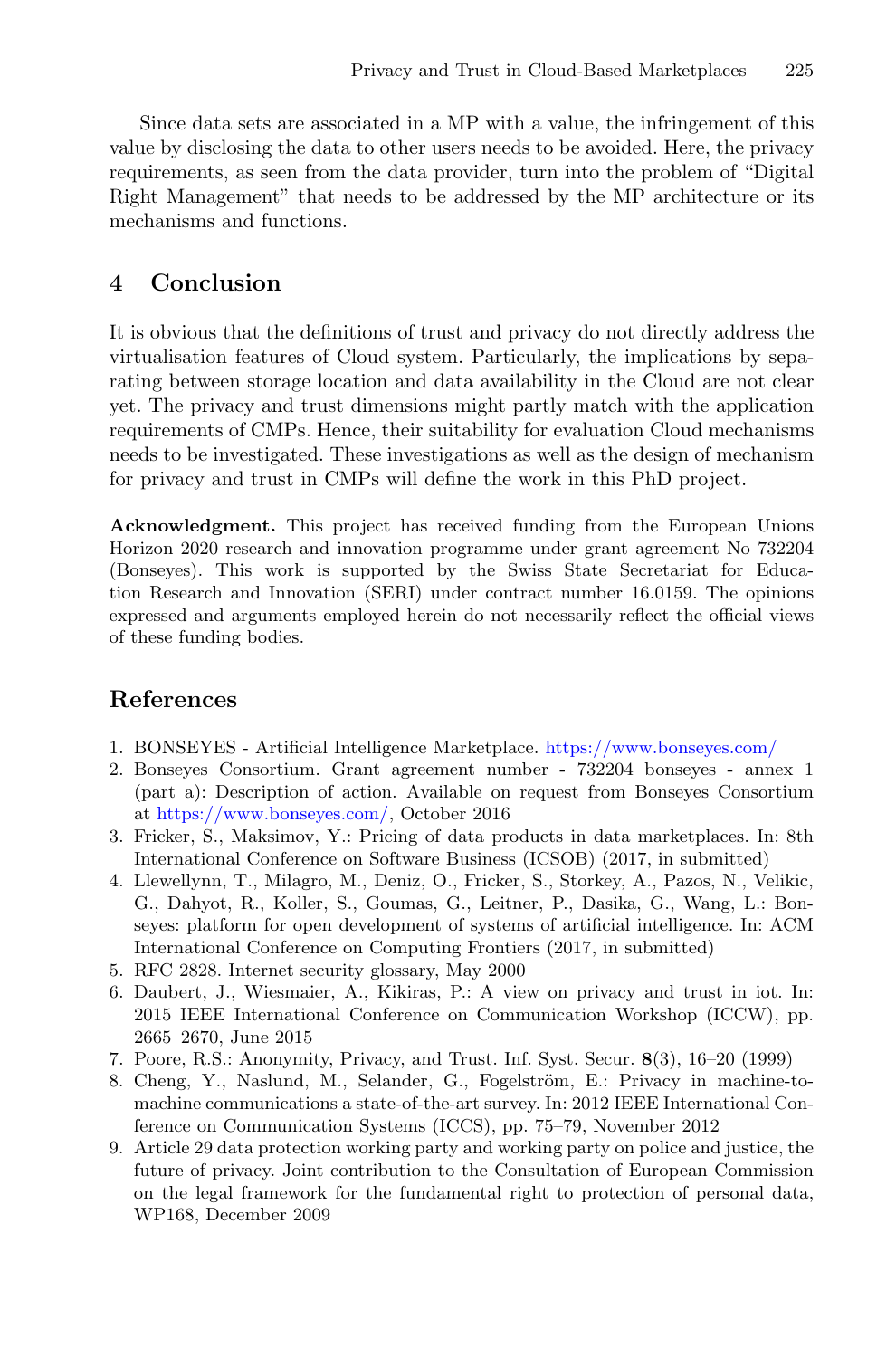Since data sets are associated in a MP with a value, the infringement of this value by disclosing the data to other users needs to be avoided. Here, the privacy requirements, as seen from the data provider, turn into the problem of "Digital Right Management" that needs to be addressed by the MP architecture or its mechanisms and functions.

### **4 Conclusion**

It is obvious that the definitions of trust and privacy do not directly address the virtualisation features of Cloud system. Particularly, the implications by separating between storage location and data availability in the Cloud are not clear yet. The privacy and trust dimensions might partly match with the application requirements of CMPs. Hence, their suitability for evaluation Cloud mechanisms needs to be investigated. These investigations as well as the design of mechanism for privacy and trust in CMPs will define the work in this PhD project.

**Acknowledgment.** This project has received funding from the European Unions Horizon 2020 research and innovation programme under grant agreement No 732204 (Bonseyes). This work is supported by the Swiss State Secretariat for Education Research and Innovation (SERI) under contract number 16.0159. The opinions expressed and arguments employed herein do not necessarily reflect the official views of these funding bodies.

## **References**

- 1. BONSEYES Artificial Intelligence Marketplace. https://www.bonseyes.com/
- 2. Bonseyes Consortium. Grant agreement number 732204 bonseyes annex 1 (part a): Description of action. Available on request from Bonseyes Consortium at https://www.bonseyes.com/, October 2016
- 3. Fricker, S., Maksimov, Y.: Pricing of data products in data marketplaces. In: 8th International Conference on Software Business (ICSOB) (2017, in submitted)
- 4. Llewellynn, T., Milagro, M., Deniz, O., Fricker, S., Storkey, A., Pazos, N., Velikic, G., Dahyot, R., Koller, S., Goumas, G., Leitner, P., Dasika, G., Wang, L.: Bonseyes: platform for open development of systems of artificial intelligence. In: ACM International Conference on Computing Frontiers (2017, in submitted)
- 5. RFC 2828. Internet security glossary, May 2000
- 6. Daubert, J., Wiesmaier, A., Kikiras, P.: A view on privacy and trust in iot. In: 2015 IEEE International Conference on Communication Workshop (ICCW), pp. 2665–2670, June 2015
- 7. Poore, R.S.: Anonymity, Privacy, and Trust. Inf. Syst. Secur. **8**(3), 16–20 (1999)
- 8. Cheng, Y., Naslund, M., Selander, G., Fogelström, E.: Privacy in machine-tomachine communications a state-of-the-art survey. In: 2012 IEEE International Conference on Communication Systems (ICCS), pp. 75–79, November 2012
- 9. Article 29 data protection working party and working party on police and justice, the future of privacy. Joint contribution to the Consultation of European Commission on the legal framework for the fundamental right to protection of personal data, WP168, December 2009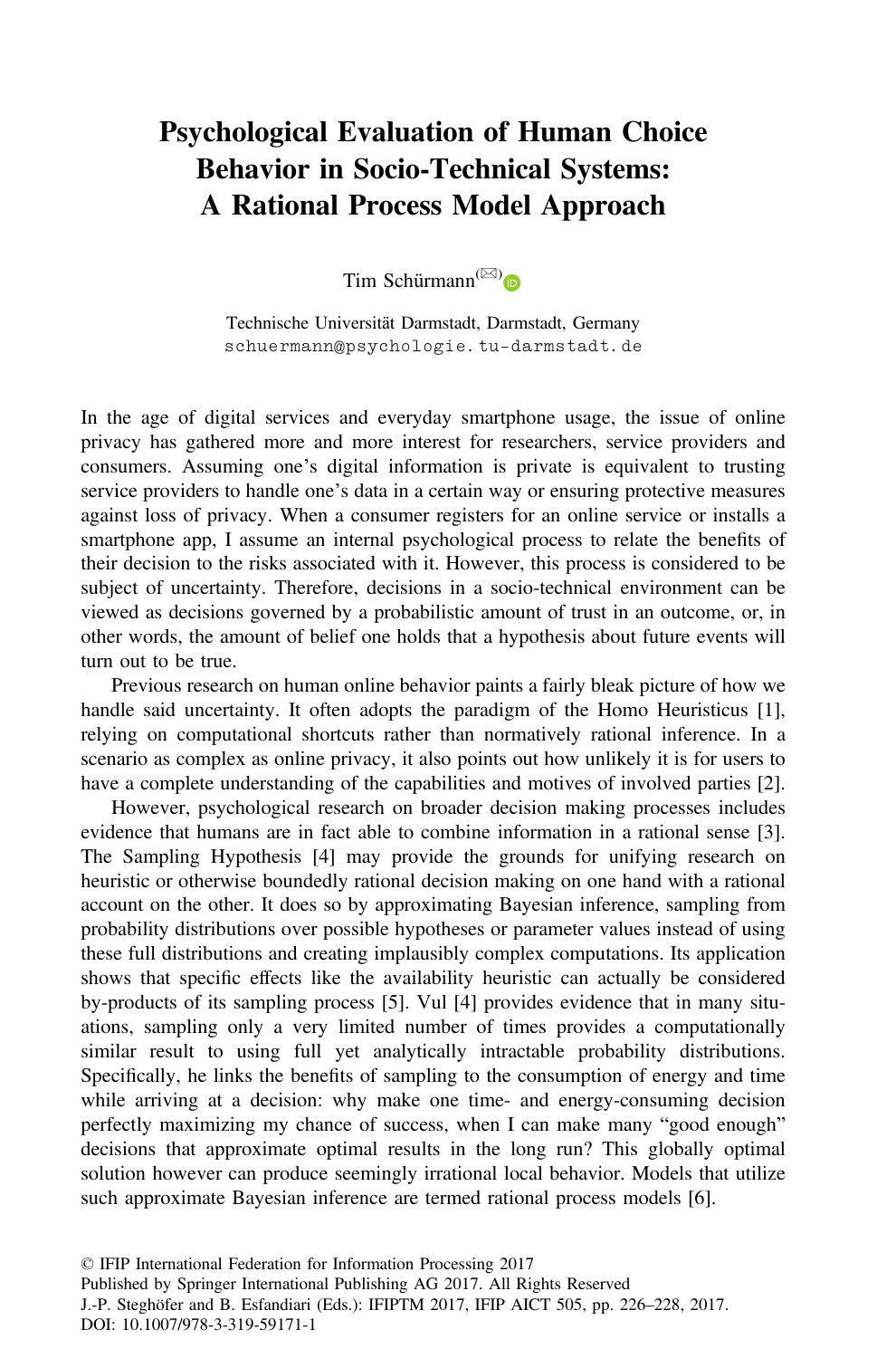# Psychological Evaluation of Human Choice Behavior in Socio-Technical Systems: A Rational Process Model Approach

Tim Schürmann<sup>( $\boxtimes$ )</sup>

Technische Universität Darmstadt, Darmstadt, Germany schuermann@psychologie.tu-darmstadt.de

In the age of digital services and everyday smartphone usage, the issue of online privacy has gathered more and more interest for researchers, service providers and consumers. Assuming one's digital information is private is equivalent to trusting service providers to handle one's data in a certain way or ensuring protective measures against loss of privacy. When a consumer registers for an online service or installs a smartphone app, I assume an internal psychological process to relate the benefits of their decision to the risks associated with it. However, this process is considered to be subject of uncertainty. Therefore, decisions in a socio-technical environment can be viewed as decisions governed by a probabilistic amount of trust in an outcome, or, in other words, the amount of belief one holds that a hypothesis about future events will turn out to be true.

Previous research on human online behavior paints a fairly bleak picture of how we handle said uncertainty. It often adopts the paradigm of the Homo Heuristicus [1], relying on computational shortcuts rather than normatively rational inference. In a scenario as complex as online privacy, it also points out [how](https://www.bonseyes.com/) [unlikely](https://www.bonseyes.com/) [it](https://www.bonseyes.com/) [is](https://www.bonseyes.com/) [for](https://www.bonseyes.com/) [users](https://www.bonseyes.com/) [to](https://www.bonseyes.com/) have a complete understanding of the capabilities and motives of involved parties [2].

How[ever, psychological research](https://www.bonseyes.com/) on broader decision making processes includes evidence that humans are in fact able to combine information in a rational sense [3]. The Sampling Hypothesis [4] may provide the grounds for unifying research on heuristic or otherwise boundedly rational decision making on one hand with a rational account on the other. It does so by approximating Bayesian inference, sampling from probability distributions over possible hypotheses or parameter values instead of using these full distributions and creating implausibly complex computations. Its application shows that specific effects like the availability heuristic can actually be considered by-products of its sampling process [5]. Vul [4] provides evidence that in many situations, sampling only a very limited number of times provides a computationally similar result to using full yet analytically intractable probability distributions. Specifically, he links the benefits of sampling to the consumption of energy and time while arriving at a decision: why make one time- and energy-consuming decision perfectly maximizing my chance of success, when I can make many "good enough" decisions that approximate optimal results in the long run? This globally optimal solution however can produce seemingly irrational local behavior. Models that utilize such approximate Bayesian inference are termed rational process models [6].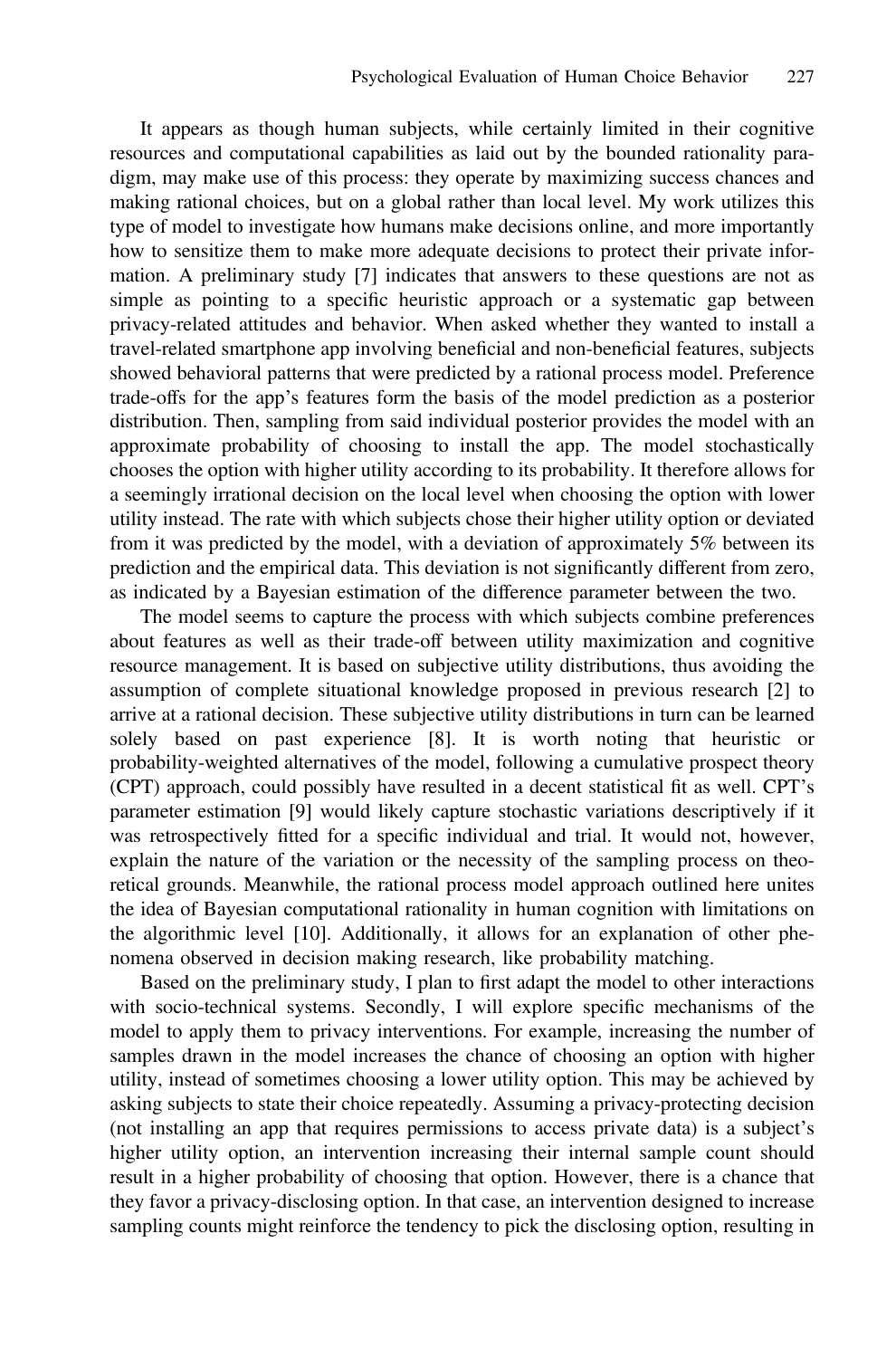It appears as though human subjects, while certainly limited in their cognitive resources and computational capabilities as laid out by the bounded rationality paradigm, may make use of this process: they operate by maximizing success chances and making rational choices, but on a global rather than local level. My work utilizes this type of model to investigate how humans make decisions online, and more importantly how to sensitize them to make more adequate decisions to protect their private information. A preliminary study [7] indicates that [an](http://orcid.org/0000-0002-4074-1423)swers to these questions are not as simple as pointing to a specific heuristic approach or a systematic gap between privacy-related attitudes and behavior. When asked whether they wanted to install a travel-related smartphone app involving beneficial and non-beneficial features, subjects showed behavioral patterns that were predicted by a rational process model. Preference trade-offs for the app's features form the basis of the model prediction as a posterior distribution. Then, sampling from said individual posterior provides the model with an approximate probability of choosing to install the app. The model stochastically chooses the option with higher utility according to its probability. It therefore allows for a seemingly irrational decision on the local level when choosing the option with lower utility instead. The rate with which subjects chose their higher utility option or deviated from it was predicted by the model, with a deviation of approximately 5% between its prediction and the empirical data. This deviation is not significantly different from zero, as indicated by a Bayesian estimation of the difference parameter between the two.

The model seems to capture the process with which subjects combine preferences about features as well as their trade-off between utility maximization and cognitive resource management. It is based on subjective utility distributions, thus avoiding the assumption of complete situational knowledge proposed in previous research [2] to arrive at a rational decision. These subjective utility distributions in turn can be learned solely based on past experience [8]. It is worth noting that heuristic or probability-weighted alternatives of the model, following a cumulative prospect theory (CPT) approach, could possibly have resulted in a decent statistical fit as well. CPT's parameter estimation [9] would likely capture stochastic variations descriptively if it was retrospectively fitted for a specific individual and trial. It would not, however, explain the nature of the variation or the necessity of the sampling process on theoretical grounds. Meanwhile, the rational process model approach outlined here unites the idea of Bayesian computational rationality in human cognition with limitations on the algorithmic level [10]. Additionally, it allows for an explanation of other phenomena observed in decision making research, like probability matching.

Based on the preliminary study, I plan to first adapt the model to other interactions with socio-technical systems. Secondly, I will explore specific mechanisms of the model to apply them to privacy interventions. For example, increasing the number of samples drawn in the model increases the chance of choosing an option with higher utility, instead of sometimes choosing a lower utility option. This may be achieved by asking subjects to state their choice repeatedly. Assuming a privacy-protecting decision (not installing an app that requires permissions to access private data) is a subject's higher utility option, an intervention increasing their internal sample count should result in a higher probability of choosing that option. However, there is a chance that they favor a privacy-disclosing option. In that case, an intervention designed to increase sampling counts might reinforce the tendency to pick the disclosing option, resulting in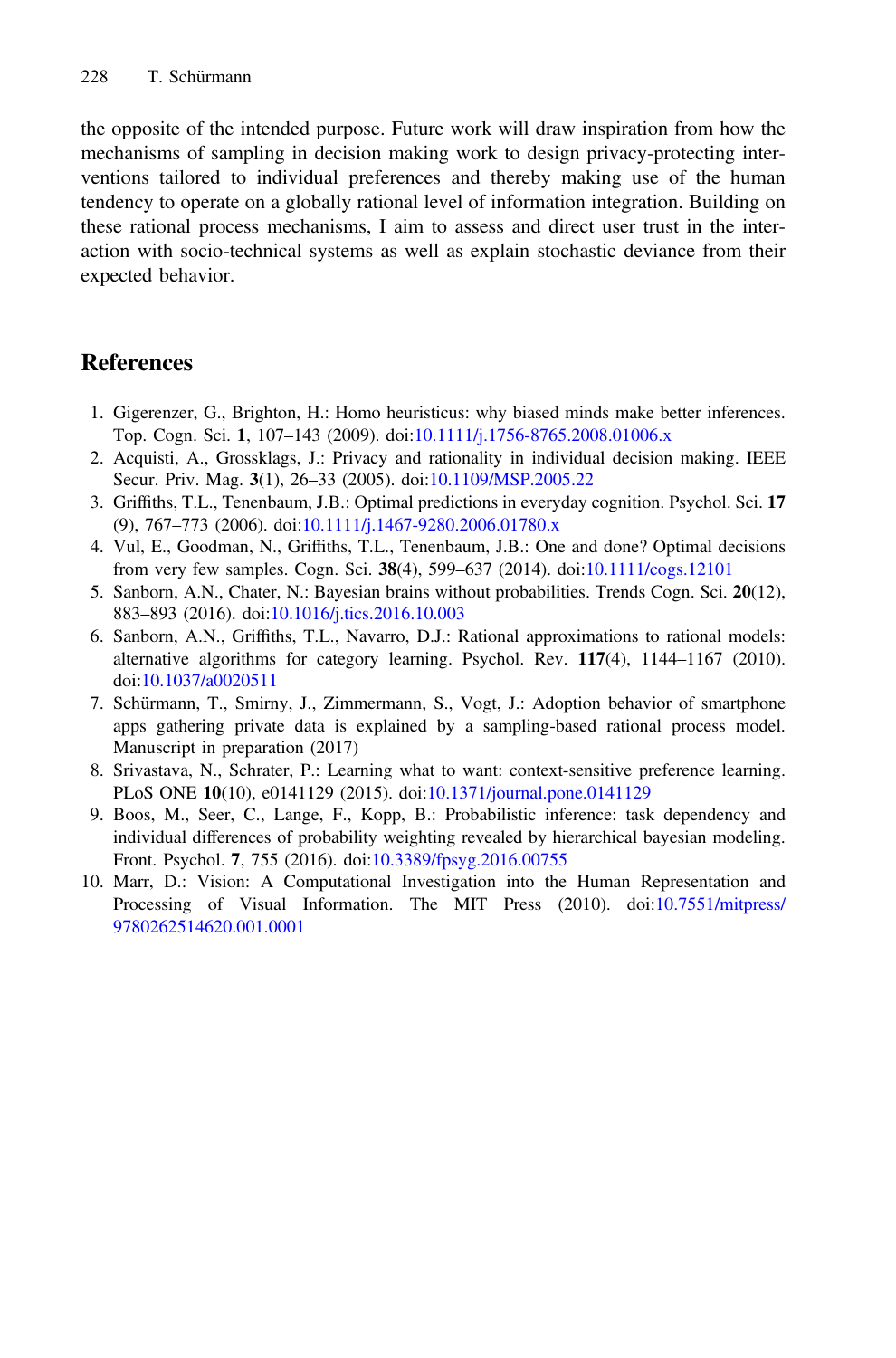the opposite of the intended purpose. Future work will draw inspiration from how the mechanisms of sampling in decision making work to design privacy-protecting interventions tailored to individual preferences and thereby making use of the human tendency to operate on a globally rational level of information integration. Building on these rational process mechanisms, I aim to assess and direct user trust in the interaction with socio-technical systems as well as explain stochastic deviance from their expected behavior.

#### **References**

- 1. Gigerenzer, G., Brighton, H.: Homo heuristicus: why biased minds make better inferences. Top. Cogn. Sci. 1, 107–143 (2009). doi:10.1111/j.1756-8765.2008.01006.x
- 2. Acquisti, A., Grossklags, J.: Privacy and rationality in individual decision making. IEEE Secur. Priv. Mag. 3(1), 26–33 (2005). doi:10.1109/MSP.2005.22
- 3. Griffiths, T.L., Tenenbaum, J.B.: Optimal predictions in everyday cognition. Psychol. Sci. 17 (9), 767–773 (2006). doi:10.1111/j.1467-9280.2006.01780.x
- 4. Vul, E., Goodman, N., Griffiths, T.L., Tenenbaum, J.B.: One and done? Optimal decisions from very few samples. Cogn. Sci. 38(4), 599–637 (2014). doi:10.1111/cogs.12101
- 5. Sanborn, A.N., Chater, N.: Bayesian brains without probabilities. Trends Cogn. Sci. 20(12), 883–893 (2016). doi:10.1016/j.tics.2016.10.003
- 6. Sanborn, A.N., Griffiths, T.L., Navarro, D.J.: Rational approximations to rational models: alternative algorithms for category learning. Psychol. Rev. 117(4), 1144–1167 (2010). doi:10.1037/a0020511
- 7. Schürmann, T., Smirny, J., Zimmermann, S., Vogt, J.: Adoption behavior of smartphone apps gathering private data is explained by a sampling-based rational process model. Manuscript in preparation (2017)
- 8. Srivastava, N., Schrater, P.: Learning what to want: context-sensitive preference learning. PLoS ONE 10(10), e0141129 (2015). doi:10.1371/journal.pone.0141129
- 9. Boos, M., Seer, C., Lange, F., Kopp, B.: Probabilistic inference: task dependency and individual differences of probability weighting revealed by hierarchical bayesian modeling. Front. Psychol. 7, 755 (2016). doi:10.3389/fpsyg.2016.00755
- 10. Marr, D.: Vision: A Computational Investigation into the Human Representation and Processing of Visual Information. The MIT Press (2010). doi:10.7551/mitpress/ 9780262514620.001.0001